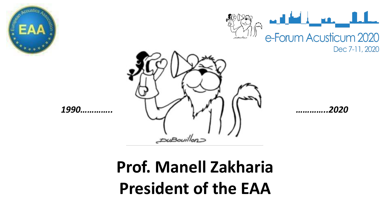







# **Prof. Manell Zakharia President of the EAA**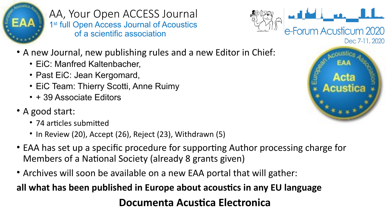

AA, Your Open ACCESS Journal 1<sup>st</sup> full Open Access Journal of Acoustics of a scientific association



- A new Journal, new publishing rules and a new Editor in Chief:
	- EiC: Manfred Kaltenbacher,
	- Past EiC: Jean Kergomard,
	- EiC Team: Thierry Scotti, Anne Ruimy
	- + 39 Associate Editors
- A good start:
	- 74 articles submitted
	- In Review (20), Accept (26), Reject (23), Withdrawn (5)
- EAA has set up a specific procedure for supporting Author processing charge for Members of a National Society (already 8 grants given)
- Archives will soon be available on a new EAA portal that will gather:

**all what has been published in Europe about acoustics in any EU language**

#### **Documenta Acustica Electronica**

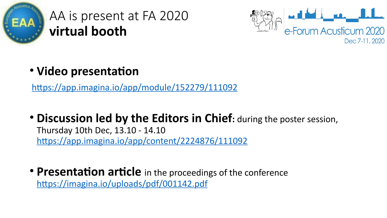

AA is present at FA 2020 **virtual booth**



• **Video presentation**

<https://app.imagina.io/app/module/152279/111092>

- **Discussion led by the Editors in Chief:** during the poster session, Thursday 10th Dec, 13.10 - 14.10 <https://app.imagina.io/app/content/2224876/111092>
- **Presentation article** in the proceedings of the conference <https://imagina.io/uploads/pdf/001142.pdf>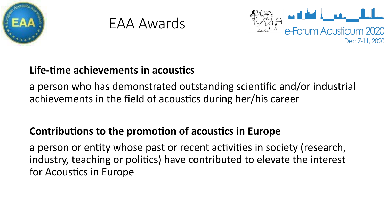





#### **Life-time achievements in acoustics**

a person who has demonstrated outstanding scientific and/or industrial achievements in the field of acoustics during her/his career

#### **Contributions to the promotion of acoustics in Europe**

a person or entity whose past or recent activities in society (research, industry, teaching or politics) have contributed to elevate the interest for Acoustics in Europe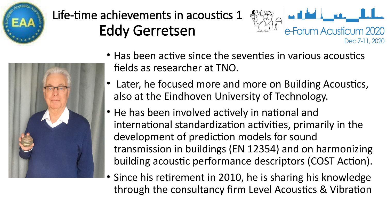



### Life-time achievements in acoustics 1 Eddy Gerretsen



- Has been active since the seventies in various acoustics fields as researcher at TNO.
- Later, he focused more and more on Building Acoustics, also at the Eindhoven University of Technology.
- He has been involved actively in national and international standardization activities, primarily in the development of prediction models for sound transmission in buildings (EN 12354) and on harmonizing building acoustic performance descriptors (COST Action).
- Since his retirement in 2010, he is sharing his knowledge through the consultancy firm Level Acoustics & Vibration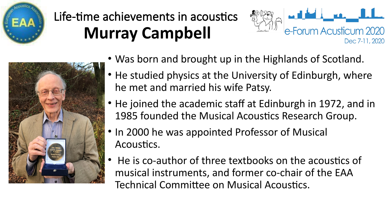

## Life-time achievements in acoustics **Murray Campbell**



• Was born and brought up in the Highlands of Scotland.

e-Forum Acusticum 2020

Dec 7-11, 2020

- He studied physics at the University of Edinburgh, where he met and married his wife Patsy.
- He joined the academic staff at Edinburgh in 1972, and in 1985 founded the Musical Acoustics Research Group.
- In 2000 he was appointed Professor of Musical Acoustics.
- He is co-author of three textbooks on the acoustics of musical instruments, and former co-chair of the EAA Technical Committee on Musical Acoustics.